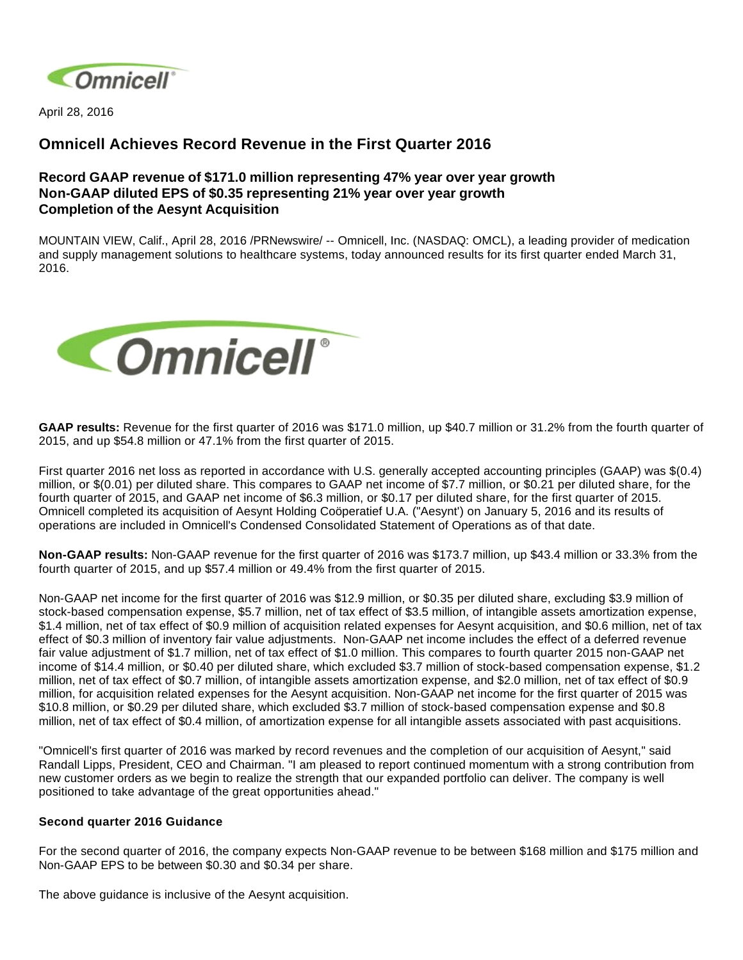

April 28, 2016

# **Omnicell Achieves Record Revenue in the First Quarter 2016**

# **Record GAAP revenue of \$171.0 million representing 47% year over year growth Non-GAAP diluted EPS of \$0.35 representing 21% year over year growth Completion of the Aesynt Acquisition**

MOUNTAIN VIEW, Calif., April 28, 2016 /PRNewswire/ -- Omnicell, Inc. (NASDAQ: OMCL), a leading provider of medication and supply management solutions to healthcare systems, today announced results for its first quarter ended March 31, 2016.



**GAAP results:** Revenue for the first quarter of 2016 was \$171.0 million, up \$40.7 million or 31.2% from the fourth quarter of 2015, and up \$54.8 million or 47.1% from the first quarter of 2015.

First quarter 2016 net loss as reported in accordance with U.S. generally accepted accounting principles (GAAP) was \$(0.4) million, or \$(0.01) per diluted share. This compares to GAAP net income of \$7.7 million, or \$0.21 per diluted share, for the fourth quarter of 2015, and GAAP net income of \$6.3 million, or \$0.17 per diluted share, for the first quarter of 2015. Omnicell completed its acquisition of Aesynt Holding Coöperatief U.A. ("Aesynt') on January 5, 2016 and its results of operations are included in Omnicell's Condensed Consolidated Statement of Operations as of that date.

**Non-GAAP results:** Non-GAAP revenue for the first quarter of 2016 was \$173.7 million, up \$43.4 million or 33.3% from the fourth quarter of 2015, and up \$57.4 million or 49.4% from the first quarter of 2015.

Non-GAAP net income for the first quarter of 2016 was \$12.9 million, or \$0.35 per diluted share, excluding \$3.9 million of stock-based compensation expense, \$5.7 million, net of tax effect of \$3.5 million, of intangible assets amortization expense, \$1.4 million, net of tax effect of \$0.9 million of acquisition related expenses for Aesynt acquisition, and \$0.6 million, net of tax effect of \$0.3 million of inventory fair value adjustments. Non-GAAP net income includes the effect of a deferred revenue fair value adjustment of \$1.7 million, net of tax effect of \$1.0 million. This compares to fourth quarter 2015 non-GAAP net income of \$14.4 million, or \$0.40 per diluted share, which excluded \$3.7 million of stock-based compensation expense, \$1.2 million, net of tax effect of \$0.7 million, of intangible assets amortization expense, and \$2.0 million, net of tax effect of \$0.9 million, for acquisition related expenses for the Aesynt acquisition. Non-GAAP net income for the first quarter of 2015 was \$10.8 million, or \$0.29 per diluted share, which excluded \$3.7 million of stock-based compensation expense and \$0.8 million, net of tax effect of \$0.4 million, of amortization expense for all intangible assets associated with past acquisitions.

"Omnicell's first quarter of 2016 was marked by record revenues and the completion of our acquisition of Aesynt," said Randall Lipps, President, CEO and Chairman. "I am pleased to report continued momentum with a strong contribution from new customer orders as we begin to realize the strength that our expanded portfolio can deliver. The company is well positioned to take advantage of the great opportunities ahead."

### **Second quarter 2016 Guidance**

For the second quarter of 2016, the company expects Non-GAAP revenue to be between \$168 million and \$175 million and Non-GAAP EPS to be between \$0.30 and \$0.34 per share.

The above guidance is inclusive of the Aesynt acquisition.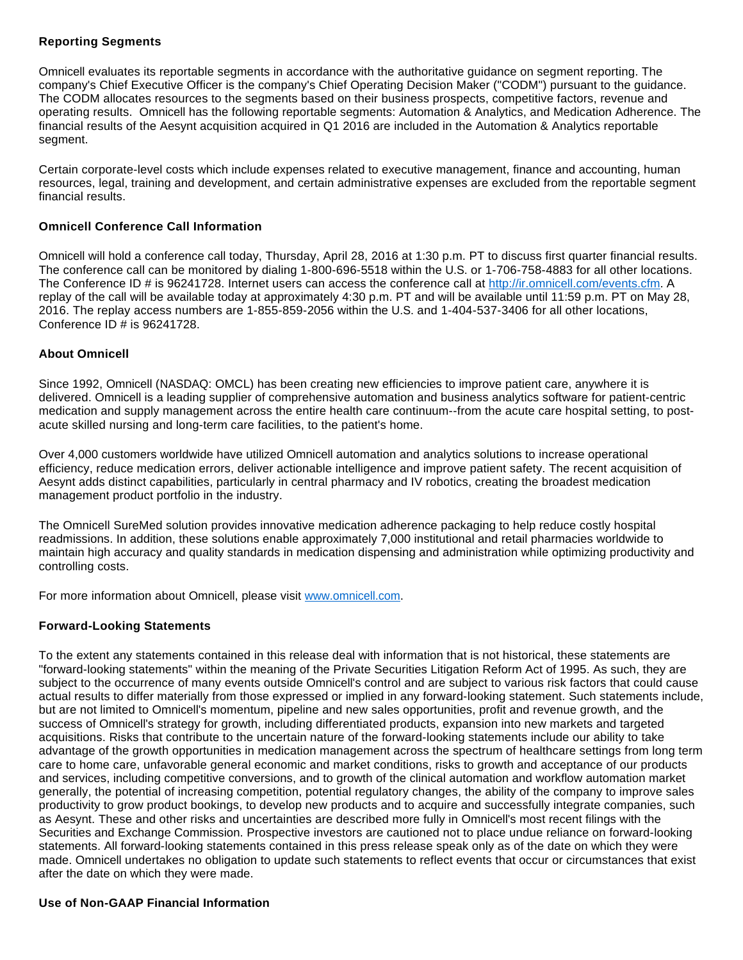# **Reporting Segments**

Omnicell evaluates its reportable segments in accordance with the authoritative guidance on segment reporting. The company's Chief Executive Officer is the company's Chief Operating Decision Maker ("CODM") pursuant to the guidance. The CODM allocates resources to the segments based on their business prospects, competitive factors, revenue and operating results. Omnicell has the following reportable segments: Automation & Analytics, and Medication Adherence. The financial results of the Aesynt acquisition acquired in Q1 2016 are included in the Automation & Analytics reportable segment.

Certain corporate-level costs which include expenses related to executive management, finance and accounting, human resources, legal, training and development, and certain administrative expenses are excluded from the reportable segment financial results.

# **Omnicell Conference Call Information**

Omnicell will hold a conference call today, Thursday, April 28, 2016 at 1:30 p.m. PT to discuss first quarter financial results. The conference call can be monitored by dialing 1-800-696-5518 within the U.S. or 1-706-758-4883 for all other locations. The Conference ID # is 96241728. Internet users can access the conference call at <http://ir.omnicell.com/events.cfm>. A replay of the call will be available today at approximately 4:30 p.m. PT and will be available until 11:59 p.m. PT on May 28, 2016. The replay access numbers are 1-855-859-2056 within the U.S. and 1-404-537-3406 for all other locations, Conference ID # is 96241728.

## **About Omnicell**

Since 1992, Omnicell (NASDAQ: OMCL) has been creating new efficiencies to improve patient care, anywhere it is delivered. Omnicell is a leading supplier of comprehensive automation and business analytics software for patient-centric medication and supply management across the entire health care continuum--from the acute care hospital setting, to postacute skilled nursing and long-term care facilities, to the patient's home.

Over 4,000 customers worldwide have utilized Omnicell automation and analytics solutions to increase operational efficiency, reduce medication errors, deliver actionable intelligence and improve patient safety. The recent acquisition of Aesynt adds distinct capabilities, particularly in central pharmacy and IV robotics, creating the broadest medication management product portfolio in the industry.

The Omnicell SureMed solution provides innovative medication adherence packaging to help reduce costly hospital readmissions. In addition, these solutions enable approximately 7,000 institutional and retail pharmacies worldwide to maintain high accuracy and quality standards in medication dispensing and administration while optimizing productivity and controlling costs.

For more information about Omnicell, please visit [www.omnicell.com.](http://www.omnicell.com/)

### **Forward-Looking Statements**

To the extent any statements contained in this release deal with information that is not historical, these statements are "forward-looking statements" within the meaning of the Private Securities Litigation Reform Act of 1995. As such, they are subject to the occurrence of many events outside Omnicell's control and are subject to various risk factors that could cause actual results to differ materially from those expressed or implied in any forward-looking statement. Such statements include, but are not limited to Omnicell's momentum, pipeline and new sales opportunities, profit and revenue growth, and the success of Omnicell's strategy for growth, including differentiated products, expansion into new markets and targeted acquisitions. Risks that contribute to the uncertain nature of the forward-looking statements include our ability to take advantage of the growth opportunities in medication management across the spectrum of healthcare settings from long term care to home care, unfavorable general economic and market conditions, risks to growth and acceptance of our products and services, including competitive conversions, and to growth of the clinical automation and workflow automation market generally, the potential of increasing competition, potential regulatory changes, the ability of the company to improve sales productivity to grow product bookings, to develop new products and to acquire and successfully integrate companies, such as Aesynt. These and other risks and uncertainties are described more fully in Omnicell's most recent filings with the Securities and Exchange Commission. Prospective investors are cautioned not to place undue reliance on forward-looking statements. All forward-looking statements contained in this press release speak only as of the date on which they were made. Omnicell undertakes no obligation to update such statements to reflect events that occur or circumstances that exist after the date on which they were made.

### **Use of Non-GAAP Financial Information**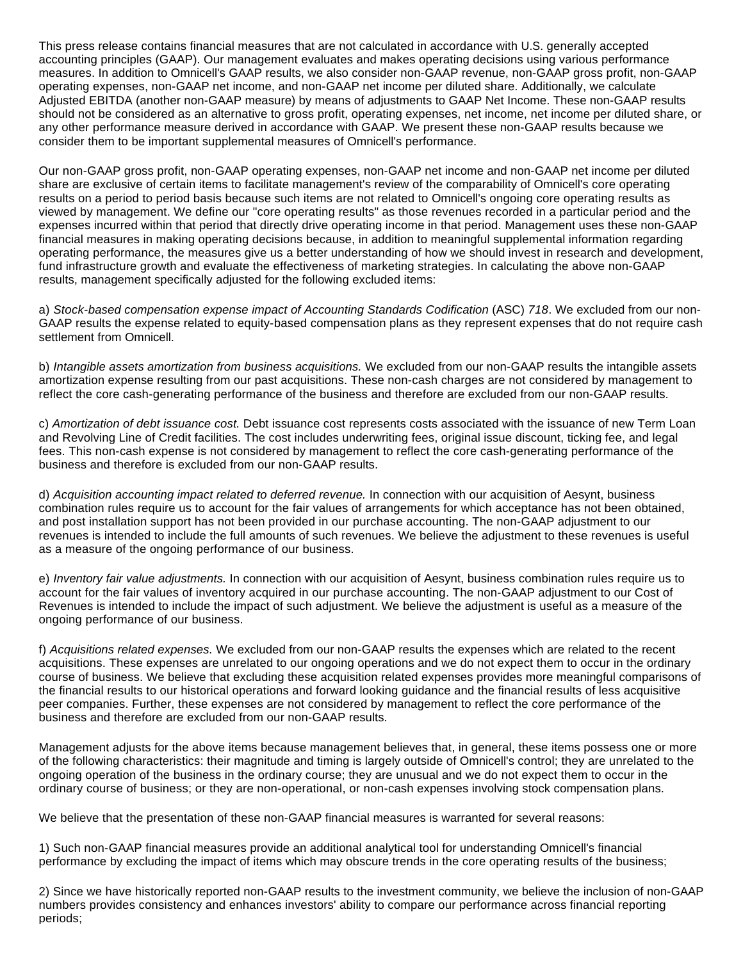This press release contains financial measures that are not calculated in accordance with U.S. generally accepted accounting principles (GAAP). Our management evaluates and makes operating decisions using various performance measures. In addition to Omnicell's GAAP results, we also consider non-GAAP revenue, non-GAAP gross profit, non-GAAP operating expenses, non-GAAP net income, and non-GAAP net income per diluted share. Additionally, we calculate Adjusted EBITDA (another non-GAAP measure) by means of adjustments to GAAP Net Income. These non-GAAP results should not be considered as an alternative to gross profit, operating expenses, net income, net income per diluted share, or any other performance measure derived in accordance with GAAP. We present these non-GAAP results because we consider them to be important supplemental measures of Omnicell's performance.

Our non-GAAP gross profit, non-GAAP operating expenses, non-GAAP net income and non-GAAP net income per diluted share are exclusive of certain items to facilitate management's review of the comparability of Omnicell's core operating results on a period to period basis because such items are not related to Omnicell's ongoing core operating results as viewed by management. We define our "core operating results" as those revenues recorded in a particular period and the expenses incurred within that period that directly drive operating income in that period. Management uses these non-GAAP financial measures in making operating decisions because, in addition to meaningful supplemental information regarding operating performance, the measures give us a better understanding of how we should invest in research and development, fund infrastructure growth and evaluate the effectiveness of marketing strategies. In calculating the above non-GAAP results, management specifically adjusted for the following excluded items:

a) Stock-based compensation expense impact of Accounting Standards Codification (ASC) 718. We excluded from our non-GAAP results the expense related to equity-based compensation plans as they represent expenses that do not require cash settlement from Omnicell

b) Intangible assets amortization from business acquisitions. We excluded from our non-GAAP results the intangible assets amortization expense resulting from our past acquisitions. These non-cash charges are not considered by management to reflect the core cash-generating performance of the business and therefore are excluded from our non-GAAP results.

c) Amortization of debt issuance cost. Debt issuance cost represents costs associated with the issuance of new Term Loan and Revolving Line of Credit facilities. The cost includes underwriting fees, original issue discount, ticking fee, and legal fees. This non-cash expense is not considered by management to reflect the core cash-generating performance of the business and therefore is excluded from our non-GAAP results.

d) Acquisition accounting impact related to deferred revenue. In connection with our acquisition of Aesynt, business combination rules require us to account for the fair values of arrangements for which acceptance has not been obtained, and post installation support has not been provided in our purchase accounting. The non-GAAP adjustment to our revenues is intended to include the full amounts of such revenues. We believe the adjustment to these revenues is useful as a measure of the ongoing performance of our business.

e) Inventory fair value adjustments. In connection with our acquisition of Aesynt, business combination rules require us to account for the fair values of inventory acquired in our purchase accounting. The non-GAAP adjustment to our Cost of Revenues is intended to include the impact of such adjustment. We believe the adjustment is useful as a measure of the ongoing performance of our business.

f) Acquisitions related expenses. We excluded from our non-GAAP results the expenses which are related to the recent acquisitions. These expenses are unrelated to our ongoing operations and we do not expect them to occur in the ordinary course of business. We believe that excluding these acquisition related expenses provides more meaningful comparisons of the financial results to our historical operations and forward looking guidance and the financial results of less acquisitive peer companies. Further, these expenses are not considered by management to reflect the core performance of the business and therefore are excluded from our non-GAAP results.

Management adjusts for the above items because management believes that, in general, these items possess one or more of the following characteristics: their magnitude and timing is largely outside of Omnicell's control; they are unrelated to the ongoing operation of the business in the ordinary course; they are unusual and we do not expect them to occur in the ordinary course of business; or they are non-operational, or non-cash expenses involving stock compensation plans.

We believe that the presentation of these non-GAAP financial measures is warranted for several reasons:

1) Such non-GAAP financial measures provide an additional analytical tool for understanding Omnicell's financial performance by excluding the impact of items which may obscure trends in the core operating results of the business;

2) Since we have historically reported non-GAAP results to the investment community, we believe the inclusion of non-GAAP numbers provides consistency and enhances investors' ability to compare our performance across financial reporting periods;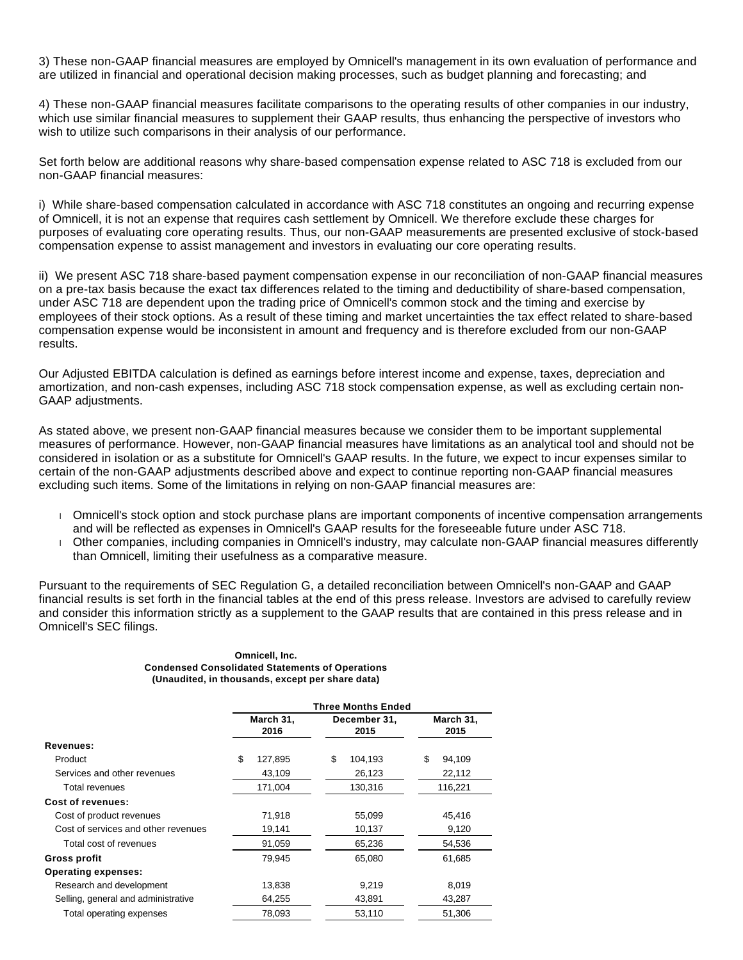3) These non-GAAP financial measures are employed by Omnicell's management in its own evaluation of performance and are utilized in financial and operational decision making processes, such as budget planning and forecasting; and

4) These non-GAAP financial measures facilitate comparisons to the operating results of other companies in our industry, which use similar financial measures to supplement their GAAP results, thus enhancing the perspective of investors who wish to utilize such comparisons in their analysis of our performance.

Set forth below are additional reasons why share-based compensation expense related to ASC 718 is excluded from our non-GAAP financial measures:

i) While share-based compensation calculated in accordance with ASC 718 constitutes an ongoing and recurring expense of Omnicell, it is not an expense that requires cash settlement by Omnicell. We therefore exclude these charges for purposes of evaluating core operating results. Thus, our non-GAAP measurements are presented exclusive of stock-based compensation expense to assist management and investors in evaluating our core operating results.

ii) We present ASC 718 share-based payment compensation expense in our reconciliation of non-GAAP financial measures on a pre-tax basis because the exact tax differences related to the timing and deductibility of share-based compensation, under ASC 718 are dependent upon the trading price of Omnicell's common stock and the timing and exercise by employees of their stock options. As a result of these timing and market uncertainties the tax effect related to share-based compensation expense would be inconsistent in amount and frequency and is therefore excluded from our non-GAAP results.

Our Adjusted EBITDA calculation is defined as earnings before interest income and expense, taxes, depreciation and amortization, and non-cash expenses, including ASC 718 stock compensation expense, as well as excluding certain non-GAAP adjustments.

As stated above, we present non-GAAP financial measures because we consider them to be important supplemental measures of performance. However, non-GAAP financial measures have limitations as an analytical tool and should not be considered in isolation or as a substitute for Omnicell's GAAP results. In the future, we expect to incur expenses similar to certain of the non-GAAP adjustments described above and expect to continue reporting non-GAAP financial measures excluding such items. Some of the limitations in relying on non-GAAP financial measures are:

- Omnicell's stock option and stock purchase plans are important components of incentive compensation arrangements and will be reflected as expenses in Omnicell's GAAP results for the foreseeable future under ASC 718.
- Other companies, including companies in Omnicell's industry, may calculate non-GAAP financial measures differently than Omnicell, limiting their usefulness as a comparative measure.

Pursuant to the requirements of SEC Regulation G, a detailed reconciliation between Omnicell's non-GAAP and GAAP financial results is set forth in the financial tables at the end of this press release. Investors are advised to carefully review and consider this information strictly as a supplement to the GAAP results that are contained in this press release and in Omnicell's SEC filings.

> **Omnicell, Inc. Condensed Consolidated Statements of Operations (Unaudited, in thousands, except per share data)**

|                                     | <b>Three Months Ended</b> |                   |    |                      |    |                   |  |
|-------------------------------------|---------------------------|-------------------|----|----------------------|----|-------------------|--|
|                                     |                           | March 31,<br>2016 |    | December 31,<br>2015 |    | March 31,<br>2015 |  |
| Revenues:                           |                           |                   |    |                      |    |                   |  |
| Product                             | \$                        | 127,895           | \$ | 104,193              | \$ | 94,109            |  |
| Services and other revenues         |                           | 43,109            |    | 26,123               |    | 22,112            |  |
| <b>Total revenues</b>               |                           | 171,004           |    | 130,316              |    | 116,221           |  |
| Cost of revenues:                   |                           |                   |    |                      |    |                   |  |
| Cost of product revenues            |                           | 71,918            |    | 55,099               |    | 45,416            |  |
| Cost of services and other revenues |                           | 19,141            |    | 10,137               |    | 9,120             |  |
| Total cost of revenues              |                           | 91,059            |    | 65,236               |    | 54,536            |  |
| Gross profit                        |                           | 79.945            |    | 65,080               |    | 61,685            |  |
| <b>Operating expenses:</b>          |                           |                   |    |                      |    |                   |  |
| Research and development            |                           | 13,838            |    | 9,219                |    | 8,019             |  |
| Selling, general and administrative |                           | 64,255            |    | 43,891               |    | 43,287            |  |
| Total operating expenses            |                           | 78,093            |    | 53,110               |    | 51,306            |  |
|                                     |                           |                   |    |                      |    |                   |  |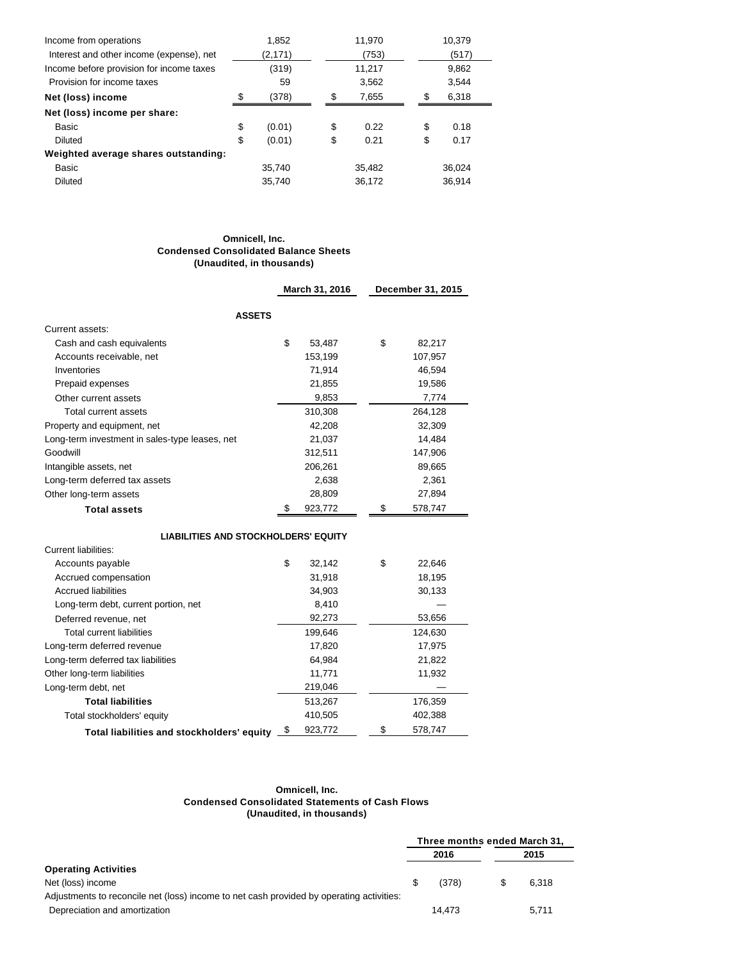| Income from operations                   |    | 1.852    |        | 11.970 |    | 10,379 |
|------------------------------------------|----|----------|--------|--------|----|--------|
| Interest and other income (expense), net |    | (2, 171) |        | (753)  |    | (517)  |
| Income before provision for income taxes |    | (319)    | 11,217 |        |    | 9,862  |
| Provision for income taxes               |    | 59       |        | 3,562  |    | 3,544  |
| Net (loss) income                        | \$ | (378)    | \$     | 7,655  | S  | 6,318  |
| Net (loss) income per share:             |    |          |        |        |    |        |
| Basic                                    | \$ | (0.01)   | \$     | 0.22   | \$ | 0.18   |
| Diluted                                  | \$ | (0.01)   | \$     | 0.21   | \$ | 0.17   |
| Weighted average shares outstanding:     |    |          |        |        |    |        |
| Basic                                    |    | 35.740   |        | 35.482 |    | 36.024 |
| Diluted                                  |    | 35,740   |        | 36,172 |    | 36,914 |

#### **Omnicell, Inc. Condensed Consolidated Balance Sheets (Unaudited, in thousands)**

|                                                | March 31, 2016 | December 31, 2015 |         |
|------------------------------------------------|----------------|-------------------|---------|
| <b>ASSETS</b>                                  |                |                   |         |
| Current assets:                                |                |                   |         |
| Cash and cash equivalents                      | \$<br>53,487   | \$                | 82,217  |
| Accounts receivable, net                       | 153,199        |                   | 107,957 |
| Inventories                                    | 71,914         |                   | 46,594  |
| Prepaid expenses                               | 21,855         |                   | 19,586  |
| Other current assets                           | 9,853          |                   | 7,774   |
| <b>Total current assets</b>                    | 310,308        |                   | 264,128 |
| Property and equipment, net                    | 42,208         |                   | 32,309  |
| Long-term investment in sales-type leases, net | 21,037         |                   | 14,484  |
| Goodwill                                       | 312,511        |                   | 147,906 |
| Intangible assets, net                         | 206,261        |                   | 89,665  |
| Long-term deferred tax assets                  | 2,638          |                   | 2,361   |
| Other long-term assets                         | 28,809         |                   | 27,894  |
| <b>Total assets</b>                            | \$<br>923,772  | \$                | 578,747 |
| <b>LIABILITIES AND STOCKHOLDERS' EQUITY</b>    |                |                   |         |
| <b>Current liabilities:</b>                    |                |                   |         |
| Accounts payable                               | \$<br>32,142   | \$                | 22,646  |
| Accrued compensation                           | 31,918         |                   | 18,195  |
| <b>Accrued liabilities</b>                     | 34,903         |                   | 30,133  |
| Long-term debt, current portion, net           | 8,410          |                   |         |
| Deferred revenue, net                          | 92,273         |                   | 53,656  |
| <b>Total current liabilities</b>               | 199,646        |                   | 124,630 |
| Long-term deferred revenue                     | 17,820         |                   | 17,975  |
| Long-term deferred tax liabilities             | 64,984         |                   | 21,822  |
| Other long-term liabilities                    | 11,771         |                   | 11,932  |
| Long-term debt, net                            | 219,046        |                   |         |
| <b>Total liabilities</b>                       | 513,267        |                   | 176,359 |
| Total stockholders' equity                     | 410,505        |                   | 402,388 |
| Total liabilities and stockholders' equity     | \$<br>923,772  | \$                | 578,747 |

#### **Omnicell, Inc. Condensed Consolidated Statements of Cash Flows (Unaudited, in thousands)**

|                                                                                          | Three months ended March 31, |        |  |       |  |
|------------------------------------------------------------------------------------------|------------------------------|--------|--|-------|--|
|                                                                                          |                              | 2016   |  | 2015  |  |
| <b>Operating Activities</b>                                                              |                              |        |  |       |  |
| Net (loss) income                                                                        |                              | (378)  |  | 6.318 |  |
| Adjustments to reconcile net (loss) income to net cash provided by operating activities: |                              |        |  |       |  |
| Depreciation and amortization                                                            |                              | 14.473 |  | 5.711 |  |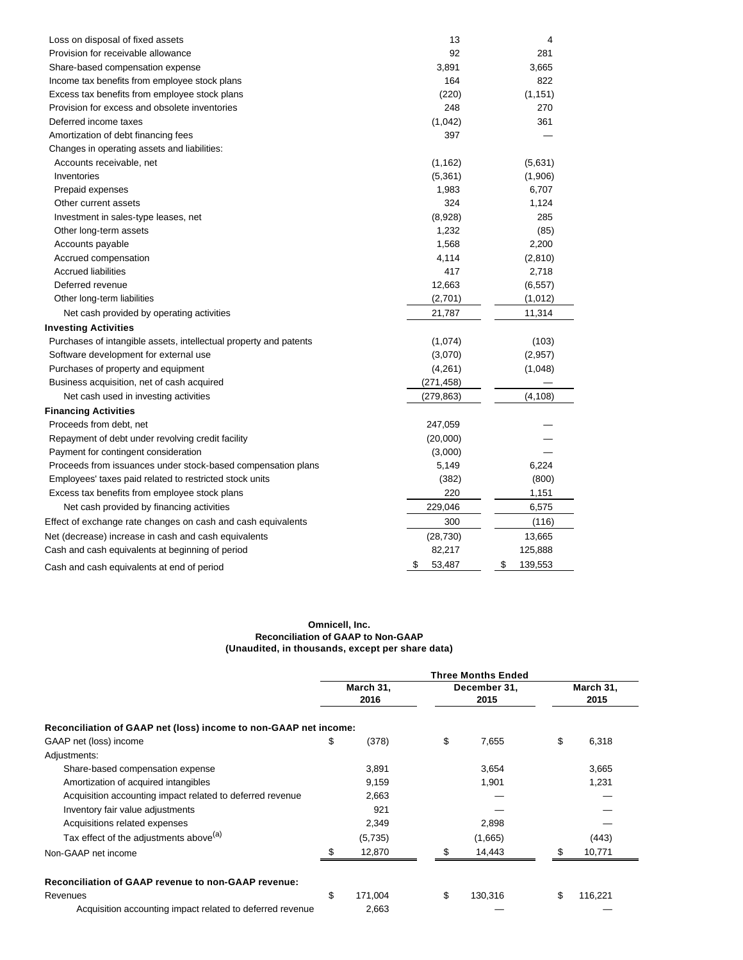| Loss on disposal of fixed assets                                  | 13           | $\overline{4}$ |
|-------------------------------------------------------------------|--------------|----------------|
| Provision for receivable allowance                                | 92           | 281            |
| Share-based compensation expense                                  | 3,891        | 3,665          |
| Income tax benefits from employee stock plans                     | 164          | 822            |
| Excess tax benefits from employee stock plans                     | (220)        | (1, 151)       |
| Provision for excess and obsolete inventories                     | 248          | 270            |
| Deferred income taxes                                             | (1,042)      | 361            |
| Amortization of debt financing fees                               | 397          |                |
| Changes in operating assets and liabilities:                      |              |                |
| Accounts receivable, net                                          | (1, 162)     | (5,631)        |
| Inventories                                                       | (5,361)      | (1,906)        |
| Prepaid expenses                                                  | 1,983        | 6,707          |
| Other current assets                                              | 324          | 1,124          |
| Investment in sales-type leases, net                              | (8,928)      | 285            |
| Other long-term assets                                            | 1,232        | (85)           |
| Accounts payable                                                  | 1,568        | 2,200          |
| Accrued compensation                                              | 4,114        | (2,810)        |
| <b>Accrued liabilities</b>                                        | 417          | 2,718          |
| Deferred revenue                                                  | 12,663       | (6, 557)       |
| Other long-term liabilities                                       | (2,701)      | (1,012)        |
| Net cash provided by operating activities                         | 21,787       | 11,314         |
| Investing Activities                                              |              |                |
| Purchases of intangible assets, intellectual property and patents | (1,074)      | (103)          |
| Software development for external use                             | (3,070)      | (2,957)        |
| Purchases of property and equipment                               | (4,261)      | (1,048)        |
| Business acquisition, net of cash acquired                        | (271, 458)   |                |
| Net cash used in investing activities                             | (279, 863)   | (4, 108)       |
| <b>Financing Activities</b>                                       |              |                |
| Proceeds from debt, net                                           | 247,059      |                |
| Repayment of debt under revolving credit facility                 | (20,000)     |                |
| Payment for contingent consideration                              | (3,000)      |                |
| Proceeds from issuances under stock-based compensation plans      | 5,149        | 6,224          |
| Employees' taxes paid related to restricted stock units           | (382)        | (800)          |
| Excess tax benefits from employee stock plans                     | 220          | 1,151          |
| Net cash provided by financing activities                         | 229,046      | 6,575          |
| Effect of exchange rate changes on cash and cash equivalents      | 300          | (116)          |
| Net (decrease) increase in cash and cash equivalents              | (28, 730)    | 13,665         |
| Cash and cash equivalents at beginning of period                  | 82,217       | 125,888        |
| Cash and cash equivalents at end of period                        | \$<br>53,487 | \$<br>139,553  |

#### **Omnicell, Inc. Reconciliation of GAAP to Non-GAAP (Unaudited, in thousands, except per share data)**

|                                                                  | <b>Three Months Ended</b> |                   |    |                      |                   |         |  |  |
|------------------------------------------------------------------|---------------------------|-------------------|----|----------------------|-------------------|---------|--|--|
|                                                                  |                           | March 31,<br>2016 |    | December 31,<br>2015 | March 31,<br>2015 |         |  |  |
| Reconciliation of GAAP net (loss) income to non-GAAP net income: |                           |                   |    |                      |                   |         |  |  |
| GAAP net (loss) income                                           | \$                        | (378)             | \$ | 7,655                | \$                | 6,318   |  |  |
| Adjustments:                                                     |                           |                   |    |                      |                   |         |  |  |
| Share-based compensation expense                                 |                           | 3,891             |    | 3,654                |                   | 3,665   |  |  |
| Amortization of acquired intangibles                             |                           | 9,159             |    | 1,901                |                   | 1,231   |  |  |
| Acquisition accounting impact related to deferred revenue        |                           | 2,663             |    |                      |                   |         |  |  |
| Inventory fair value adjustments                                 |                           | 921               |    |                      |                   |         |  |  |
| Acquisitions related expenses                                    |                           | 2,349             |    | 2,898                |                   |         |  |  |
| Tax effect of the adjustments above <sup>(a)</sup>               |                           | (5,735)           |    | (1,665)              |                   | (443)   |  |  |
| Non-GAAP net income                                              |                           | 12,870            | \$ | 14,443               |                   | 10,771  |  |  |
| Reconciliation of GAAP revenue to non-GAAP revenue:              |                           |                   |    |                      |                   |         |  |  |
| Revenues                                                         | \$                        | 171,004           | \$ | 130,316              | \$                | 116,221 |  |  |
| Acquisition accounting impact related to deferred revenue        |                           | 2,663             |    |                      |                   |         |  |  |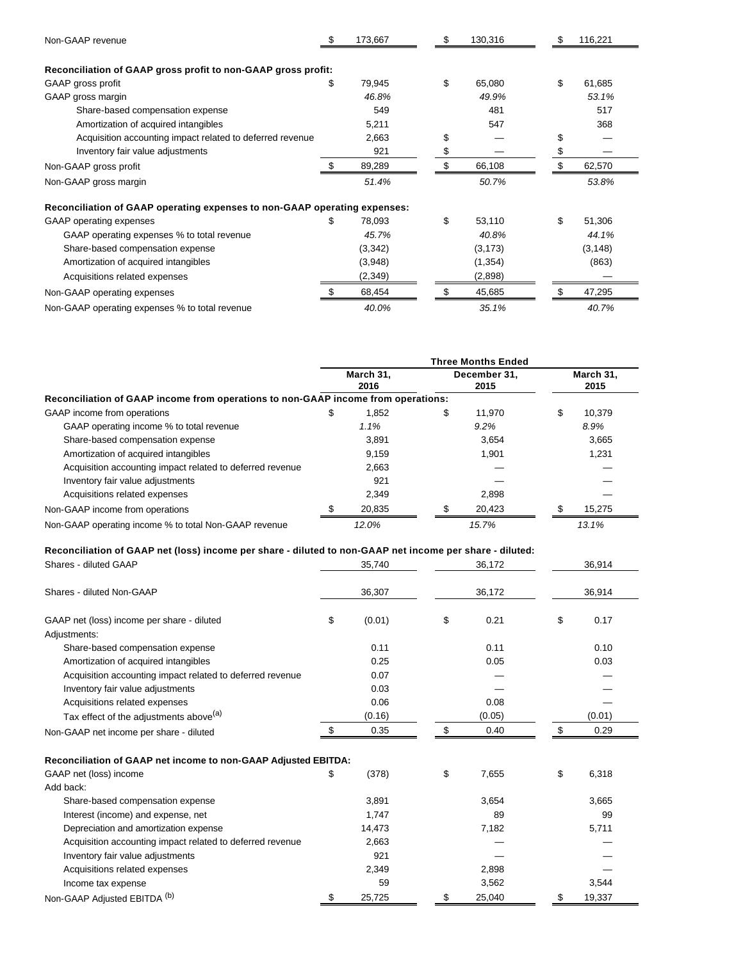| Non-GAAP revenue                                                          | S  | 173,667 | \$<br>130,316 | S  | 116,221  |
|---------------------------------------------------------------------------|----|---------|---------------|----|----------|
|                                                                           |    |         |               |    |          |
| Reconciliation of GAAP gross profit to non-GAAP gross profit:             |    |         |               |    |          |
| GAAP gross profit                                                         | \$ | 79,945  | \$<br>65,080  | \$ | 61,685   |
| GAAP gross margin                                                         |    | 46.8%   | 49.9%         |    | 53.1%    |
| Share-based compensation expense                                          |    | 549     | 481           |    | 517      |
| Amortization of acquired intangibles                                      |    | 5,211   | 547           |    | 368      |
| Acquisition accounting impact related to deferred revenue                 |    | 2,663   |               |    |          |
| Inventory fair value adjustments                                          |    | 921     |               |    |          |
| Non-GAAP gross profit                                                     |    | 89,289  | 66,108        |    | 62,570   |
| Non-GAAP gross margin                                                     |    | 51.4%   | 50.7%         |    | 53.8%    |
| Reconciliation of GAAP operating expenses to non-GAAP operating expenses: |    |         |               |    |          |
| GAAP operating expenses                                                   | \$ | 78,093  | \$<br>53,110  | \$ | 51,306   |
| GAAP operating expenses % to total revenue                                |    | 45.7%   | 40.8%         |    | 44.1%    |
| Share-based compensation expense                                          |    | (3,342) | (3, 173)      |    | (3, 148) |
| Amortization of acquired intangibles                                      |    | (3,948) | (1, 354)      |    | (863)    |
| Acquisitions related expenses                                             |    | (2,349) | (2,898)       |    |          |
| Non-GAAP operating expenses                                               |    | 68,454  | 45,685        |    | 47,295   |
| Non-GAAP operating expenses % to total revenue                            |    | 40.0%   | 35.1%         |    | 40.7%    |

|                                                                                   | <b>Three Months Ended</b> |        |    |                      |    |                   |  |
|-----------------------------------------------------------------------------------|---------------------------|--------|----|----------------------|----|-------------------|--|
|                                                                                   | March 31,<br>2016         |        |    | December 31.<br>2015 |    | March 31.<br>2015 |  |
| Reconciliation of GAAP income from operations to non-GAAP income from operations: |                           |        |    |                      |    |                   |  |
| GAAP income from operations                                                       | \$                        | 1.852  | \$ | 11.970               | \$ | 10,379            |  |
| GAAP operating income % to total revenue                                          |                           | 1.1%   |    | 9.2%                 |    | 8.9%              |  |
| Share-based compensation expense                                                  |                           | 3.891  |    | 3.654                |    | 3,665             |  |
| Amortization of acquired intangibles                                              |                           | 9,159  |    | 1.901                |    | 1,231             |  |
| Acquisition accounting impact related to deferred revenue                         |                           | 2.663  |    |                      |    |                   |  |
| Inventory fair value adjustments                                                  |                           | 921    |    |                      |    |                   |  |
| Acquisitions related expenses                                                     |                           | 2,349  |    | 2,898                |    |                   |  |
| Non-GAAP income from operations                                                   |                           | 20,835 |    | 20,423               |    | 15,275            |  |
| Non-GAAP operating income % to total Non-GAAP revenue                             |                           | 12.0%  |    | 15.7%                |    | 13.1%             |  |
|                                                                                   |                           |        |    |                      |    |                   |  |

### **Reconciliation of GAAP net (loss) income per share - diluted to non-GAAP net income per share - diluted:**

| Shares - diluted GAAP                                          |    | 35,740 |     | 36,172 | 36,914      |
|----------------------------------------------------------------|----|--------|-----|--------|-------------|
| Shares - diluted Non-GAAP                                      |    | 36,307 |     | 36,172 | 36,914      |
| GAAP net (loss) income per share - diluted                     | \$ | (0.01) | \$  | 0.21   | \$<br>0.17  |
| Adjustments:                                                   |    |        |     |        |             |
| Share-based compensation expense                               |    | 0.11   |     | 0.11   | 0.10        |
| Amortization of acquired intangibles                           |    | 0.25   |     | 0.05   | 0.03        |
| Acquisition accounting impact related to deferred revenue      |    | 0.07   |     |        |             |
| Inventory fair value adjustments                               |    | 0.03   |     |        |             |
| Acquisitions related expenses                                  |    | 0.06   |     | 0.08   |             |
| Tax effect of the adjustments above <sup>(a)</sup>             |    | (0.16) |     | (0.05) | (0.01)      |
| Non-GAAP net income per share - diluted                        | \$ | 0.35   | \$. | 0.40   | 0.29        |
| Reconciliation of GAAP net income to non-GAAP Adjusted EBITDA: |    |        |     |        |             |
| GAAP net (loss) income                                         | \$ | (378)  | \$  | 7,655  | \$<br>6,318 |
| Add back:                                                      |    |        |     |        |             |
| Share-based compensation expense                               |    | 3,891  |     | 3,654  | 3,665       |
| Interest (income) and expense, net                             |    | 1,747  |     | 89     | 99          |
| Depreciation and amortization expense                          |    | 14,473 |     | 7,182  | 5,711       |
| Acquisition accounting impact related to deferred revenue      |    | 2,663  |     |        |             |
| Inventory fair value adjustments                               |    | 921    |     |        |             |
| Acquisitions related expenses                                  |    | 2,349  |     | 2,898  |             |
| Income tax expense                                             |    | 59     |     | 3,562  | 3,544       |
| Non-GAAP Adjusted EBITDA <sup>(b)</sup>                        | Ъ  | 25,725 |     | 25,040 | 19,337      |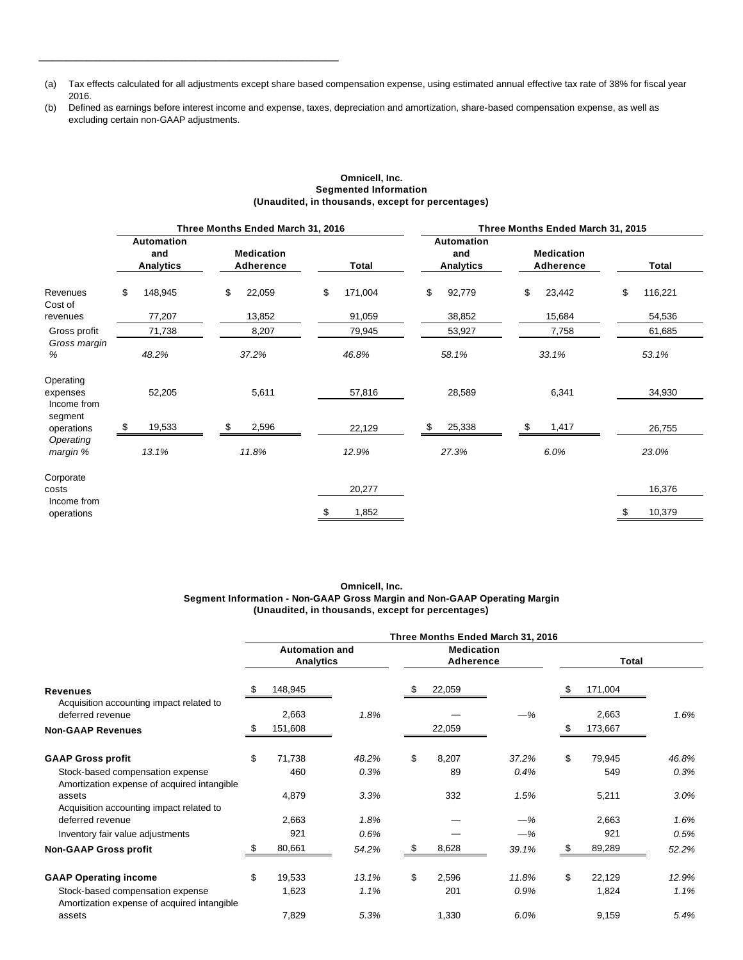- (a) Tax effects calculated for all adjustments except share based compensation expense, using estimated annual effective tax rate of 38% for fiscal year 2016.
- (b) Defined as earnings before interest income and expense, taxes, depreciation and amortization, share-based compensation expense, as well as excluding certain non-GAAP adjustments.

\_\_\_\_\_\_\_\_\_\_\_\_\_\_\_\_\_\_\_\_\_\_\_\_\_\_\_\_\_\_\_\_\_\_\_\_\_\_\_\_\_\_\_\_

|                                      |                                              | Three Months Ended March 31, 2016 |               | Three Months Ended March 31, 2015 |                                       |               |  |  |  |  |
|--------------------------------------|----------------------------------------------|-----------------------------------|---------------|-----------------------------------|---------------------------------------|---------------|--|--|--|--|
|                                      | <b>Automation</b><br>and<br><b>Analytics</b> | <b>Medication</b><br>Adherence    | Total         | Automation<br>and<br>Analytics    | <b>Medication</b><br><b>Adherence</b> | Total         |  |  |  |  |
| Revenues<br>Cost of                  | \$<br>148,945                                | \$<br>22,059                      | \$<br>171,004 | \$<br>92,779                      | \$<br>23,442                          | \$<br>116,221 |  |  |  |  |
| revenues                             | 77,207                                       | 13,852                            | 91,059        | 38,852                            | 15,684                                | 54,536        |  |  |  |  |
| Gross profit                         | 71,738                                       | 8,207                             | 79,945        | 53,927                            | 7,758                                 | 61,685        |  |  |  |  |
| Gross margin<br>%                    | 48.2%                                        | 37.2%                             | 46.8%         | 58.1%                             | 33.1%                                 | 53.1%         |  |  |  |  |
| Operating<br>expenses<br>Income from | 52,205                                       | 5,611                             | 57,816        | 28,589                            | 6,341                                 | 34,930        |  |  |  |  |
| segment<br>operations                | 19,533<br>\$                                 | 2,596<br>S                        | 22,129        | 25,338<br>- 95                    | 1,417<br>\$.                          | 26,755        |  |  |  |  |
| Operating<br>margin %                | 13.1%                                        | 11.8%                             | 12.9%         | 27.3%                             | 6.0%                                  | 23.0%         |  |  |  |  |
| Corporate<br>costs                   |                                              |                                   | 20,277        |                                   |                                       | 16,376        |  |  |  |  |
| Income from<br>operations            |                                              |                                   | 1,852<br>\$   |                                   |                                       | 10,379<br>\$  |  |  |  |  |

#### **Omnicell, Inc. Segmented Information (Unaudited, in thousands, except for percentages)**

**Omnicell, Inc. Segment Information - Non-GAAP Gross Margin and Non-GAAP Operating Margin (Unaudited, in thousands, except for percentages)**

|                                                                                 | Three Months Ended March 31, 2016 |                                    |       |    |                                       |       |    |              |       |  |  |
|---------------------------------------------------------------------------------|-----------------------------------|------------------------------------|-------|----|---------------------------------------|-------|----|--------------|-------|--|--|
|                                                                                 |                                   | <b>Automation and</b><br>Analytics |       |    | <b>Medication</b><br><b>Adherence</b> |       |    | <b>Total</b> |       |  |  |
| <b>Revenues</b><br>Acquisition accounting impact related to                     |                                   | 148,945                            |       |    | 22,059                                |       |    | 171,004      |       |  |  |
| deferred revenue                                                                |                                   | 2,663                              | 1.8%  |    |                                       | $-\%$ |    | 2,663        | 1.6%  |  |  |
| <b>Non-GAAP Revenues</b>                                                        |                                   | 151,608                            |       |    | 22,059                                |       |    | 173,667      |       |  |  |
| <b>GAAP Gross profit</b>                                                        | \$                                | 71,738                             | 48.2% | \$ | 8,207                                 | 37.2% | \$ | 79,945       | 46.8% |  |  |
| Stock-based compensation expense<br>Amortization expense of acquired intangible |                                   | 460                                | 0.3%  |    | 89                                    | 0.4%  |    | 549          | 0.3%  |  |  |
| assets<br>Acquisition accounting impact related to                              |                                   | 4,879                              | 3.3%  |    | 332                                   | 1.5%  |    | 5,211        | 3.0%  |  |  |
| deferred revenue                                                                |                                   | 2,663                              | 1.8%  |    |                                       | $-\%$ |    | 2,663        | 1.6%  |  |  |
| Inventory fair value adjustments                                                |                                   | 921                                | 0.6%  |    |                                       | $-\%$ |    | 921          | 0.5%  |  |  |
| <b>Non-GAAP Gross profit</b>                                                    |                                   | 80,661                             | 54.2% |    | 8,628                                 | 39.1% |    | 89,289       | 52.2% |  |  |
| <b>GAAP Operating income</b>                                                    | \$                                | 19,533                             | 13.1% | \$ | 2,596                                 | 11.8% | \$ | 22,129       | 12.9% |  |  |
| Stock-based compensation expense<br>Amortization expense of acquired intangible |                                   | 1,623                              | 1.1%  |    | 201                                   | 0.9%  |    | 1,824        | 1.1%  |  |  |
| assets                                                                          |                                   | 7,829                              | 5.3%  |    | 1,330                                 | 6.0%  |    | 9,159        | 5.4%  |  |  |